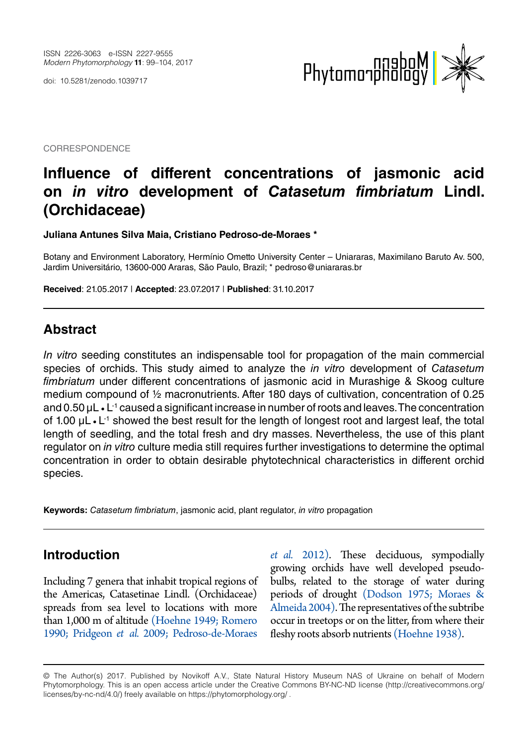doi: 10.5281/zenodo.1039717



**CORRESPONDENCE** 

# **Influence of different concentrations of jasmonic acid on** *in vitro* **development of** *Catasetum fimbriatum* **Lindl. (Orchidaceae)**

**Juliana Antunes Silva Maia, Cristiano Pedroso-de-Moraes \***

Botany and Environment Laboratory, Hermínio Ometto University Center – Uniararas, Maximilano Baruto Av. 500, Jardim Universitário, 13600-000 Araras, São Paulo, Brazil; \* pedroso@uniararas.br

**Received**: 21.05.2017 | **Accepted**: 23.07.2017 | **Published**: 31.10.2017

## **Abstract**

*In vitro* seeding constitutes an indispensable tool for propagation of the main commercial species of orchids. This study aimed to analyze the *in vitro* development of *Catasetum fimbriatum* under different concentrations of jasmonic acid in Murashige & Skoog culture medium compound of ½ macronutrients. After 180 days of cultivation, concentration of 0.25 and 0.50 μL • L-1 caused a significant increase in number of roots and leaves. The concentration of 1.00 μL • L-1 showed the best result for the length of longest root and largest leaf, the total length of seedling, and the total fresh and dry masses. Nevertheless, the use of this plant regulator on *in vitro* culture media still requires further investigations to determine the optimal concentration in order to obtain desirable phytotechnical characteristics in different orchid species.

**Keywords:** *Catasetum fimbriatum*, jasmonic acid, plant regulator, *in vitro* propagation

#### **Introduction**

Including 7 genera that inhabit tropical regions of the Americas, Catasetinae Lindl. (Orchidaceae) spreads from sea level to locations with more than 1,000 m of altitude (Hoehne 1949; [Romero](#page-5-0)  [1990;](#page-5-0) [Pridgeon](#page-5-1) *et al.* 2009; [Pedroso‑de-Moraes](#page-5-2) 

*et al.* [2012\)](#page-5-2). These deciduous, sympodially growing orchids have well developed pseudobulbs, related to the storage of water during periods of drought [\(Dodson 1975;](#page-4-0) Moraes & Almeida 2004). The representatives of the subtribe occur in treetops or on the litter, from where their fleshy roots absorb nutrients (Hoehne 1938).

<sup>©</sup> The Author(s) 2017. Published by Novikoff A.V., State Natural History Museum NAS of Ukraine on behalf of Modern Phytomorphology. This is an open access article under the Creative Commons BY-NC-ND license (http://creativecommons.org/ licenses/by-nc-nd/4.0/) freely available on https://phytomorphology.org/ .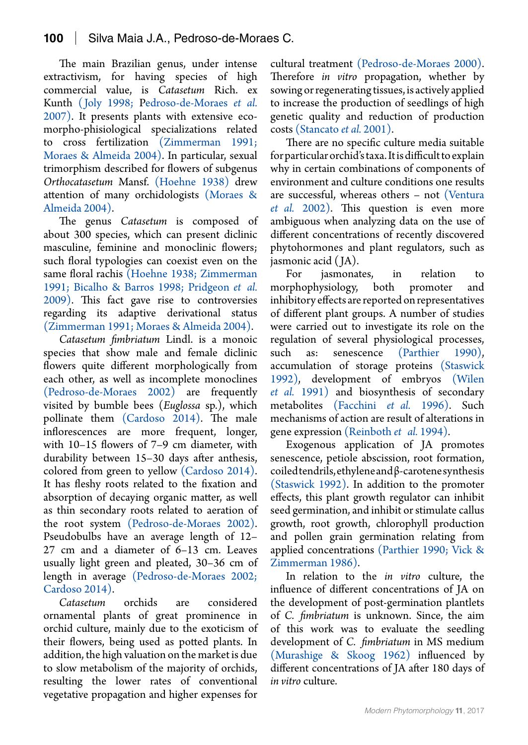The main Brazilian genus, under intense extractivism, for having species of high commercial value, is *Catasetum* Rich. ex Kunth ( Joly 1998; Pedroso-de-Moraes *et al.* 2007). It presents plants with extensive ecomorpho-phisiological specializations related to cross fertilization [\(Zimmerman 1991;](#page-5-3)  Moraes & Almeida 2004). In particular, sexual trimorphism described for flowers of subgenus *Orthocatasetum* Mansf. (Hoehne 1938) drew attention of many orchidologists (Moraes & Almeida 2004).

The genus *Catasetum* is composed of about 300 species, which can present diclinic masculine, feminine and monoclinic flowers; such floral typologies can coexist even on the same floral rachis (Hoehne 1938; [Zimmerman](#page-5-3)  [1991;](#page-5-3) [Bicalho & Barros 1998;](#page-4-1) [Pridgeon](#page-5-1) *et al.* [2009\)](#page-5-1). This fact gave rise to controversies regarding its adaptive derivational status [\(Zimmerman 1991;](#page-5-3) Moraes & Almeida 2004).

*Catasetum fimbriatum* Lindl. is a monoic species that show male and female diclinic flowers quite different morphologically from each other, as well as incomplete monoclines (Pedroso-de-Moraes 2002) are frequently visited by bumble bees (*Euglossa* sp.), which pollinate them (Cardoso 2014). The male inflorescences are more frequent, longer, with 10–15 flowers of 7–9 cm diameter, with durability between 15–30 days after anthesis, colored from green to yellow (Cardoso 2014). It has fleshy roots related to the fixation and absorption of decaying organic matter, as well as thin secondary roots related to aeration of the root system (Pedroso-de-Moraes 2002). Pseudobulbs have an average length of 12– 27 cm and a diameter of 6–13 cm. Leaves usually light green and pleated, 30–36 cm of length in average (Pedroso-de-Moraes 2002; Cardoso 2014).

*Catasetum* orchids are considered ornamental plants of great prominence in orchid culture, mainly due to the exoticism of their flowers, being used as potted plants. In addition, the high valuation on the market is due to slow metabolism of the majority of orchids, resulting the lower rates of conventional vegetative propagation and higher expenses for cultural treatment (Pedroso-de-Moraes 2000). Therefore *in vitro* propagation, whether by sowing or regenerating tissues, is actively applied to increase the production of seedlings of high genetic quality and reduction of production costs (Stancato *et al.* 2001).

There are no specific culture media suitable for particular orchid's taxa. It is difficult to explain why in certain combinations of components of environment and culture conditions one results are successful, whereas others – not [\(Ventura](#page-5-4) *et al.* [2002\).](#page-5-4) This question is even more ambiguous when analyzing data on the use of different concentrations of recently discovered phytohormones and plant regulators, such as jasmonic acid ( JA).

For jasmonates, in relation to morphophysiology, both promoter and inhibitory effects are reported on representatives of different plant groups. A number of studies were carried out to investigate its role on the regulation of several physiological processes, such as: senescence [\(Parthier 1990\),](#page-5-5) accumulation of storage proteins [\(Staswick](#page-5-6) [1992\)](#page-5-6), development of embryos [\(Wilen](#page-5-7) *et al.* [1991\)](#page-5-7) and biosynthesis of secondary metabolites [\(Facchini](#page-4-2) *et al.* 1996). Such mechanisms of action are result of alterations in gene expression [\(Reinboth](#page-5-8) *et al.* 1994).

Exogenous application of JA promotes senescence, petiole abscission, root formation, coiled tendrils, ethylene and β-carotene synthesis [\(Staswick 1992\)](#page-5-6). In addition to the promoter effects, this plant growth regulator can inhibit seed germination, and inhibit or stimulate callus growth, root growth, chlorophyll production and pollen grain germination relating from applied concentrations [\(Parthier 1990;](#page-5-5) [Vick &](#page-5-9) [Zimmerman 1986\)](#page-5-9).

In relation to the *in vitro* culture, the influence of different concentrations of JA on the development of post-germination plantlets of *C. fimbriatum* is unknown. Since, the aim of this work was to evaluate the seedling development of *C. fimbriatum* in MS medium [\(Murashige & Skoog 1962\)](#page-5-10) influenced by different concentrations of JA after 180 days of *in vitro* culture.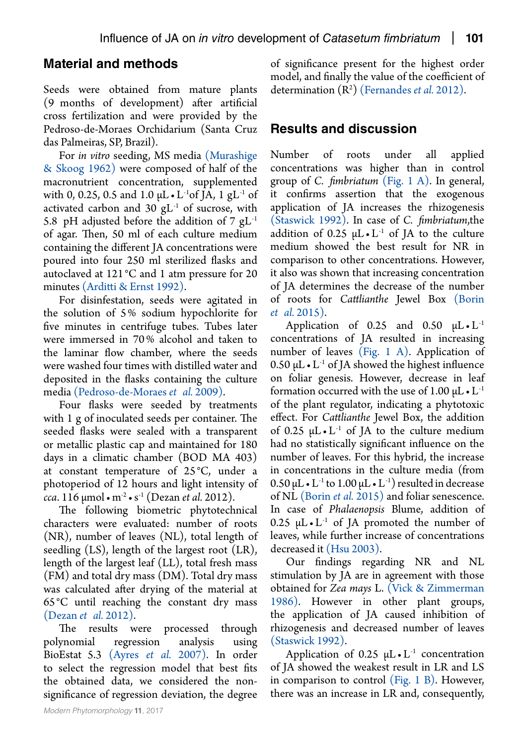# **Material and methods**

Seeds were obtained from mature plants (9 months of development) after artificial cross fertilization and were provided by the Pedroso-de-Moraes Orchidarium (Santa Cruz das Palmeiras, SP, Brazil).

For *in vitro* seeding, MS media [\(Murashige](#page-5-10)  [& Skoog 1962\)](#page-5-10) were composed of half of the macronutrient concentration, supplemented with 0, 0.25, 0.5 and 1.0 μL • L<sup>-1</sup>of JA, 1 gL<sup>-1</sup> of activated carbon and 30  $gL<sup>-1</sup>$  of sucrose, with 5.8 pH adjusted before the addition of 7  $gL<sup>-1</sup>$ of agar. Then, 50 ml of each culture medium containing the different JA concentrations were poured into four 250 ml sterilized flasks and autoclaved at 121 °C and 1 atm pressure for 20 minutes [\(Arditti & Ernst 1992\)](#page-4-3).

For disinfestation, seeds were agitated in the solution of 5% sodium hypochlorite for five minutes in centrifuge tubes. Tubes later were immersed in 70% alcohol and taken to the laminar flow chamber, where the seeds were washed four times with distilled water and deposited in the flasks containing the culture media [\(Pedroso-de-Moraes](#page-5-11) *et al.* 2009).

Four flasks were seeded by treatments with 1 g of inoculated seeds per container. The seeded flasks were sealed with a transparent or metallic plastic cap and maintained for 180 days in a climatic chamber (BOD MA 403) at constant temperature of 25 °C, under a photoperiod of 12 hours and light intensity of *cca*. 116 μmol • m-2  • s-1 (Dezan *et al.* 2012).

The following biometric phytotechnical characters were evaluated: number of roots (NR), number of leaves (NL), total length of seedling (LS), length of the largest root (LR), length of the largest leaf (LL), total fresh mass (FM) and total dry mass (DM). Total dry mass was calculated after drying of the material at 65 °C until reaching the constant dry mass [\(Dezan](#page-4-4) *et al.* 2012).

The results were processed through polynomial regression analysis using BioEstat 5.3 (Ayres *et al.* 2007). In order to select the regression model that best fits the obtained data, we considered the nonsignificance of regression deviation, the degree

of significance present for the highest order model, and finally the value of the coefficient of determination (R2 ) [\(Fernandes](#page-4-5) *et al.* 2012).

# **Results and discussion**

Number of roots under all applied concentrations was higher than in control group of *C. fimbriatum* [\(Fig. 1 A\)](#page-3-0). In general, it confirms assertion that the exogenous application of JA increases the rhizogenesis [\(Staswick 1992\)](#page-5-6). In case of *C. fimbriatum*,the addition of 0.25  $\mu L \cdot L^{-1}$  of JA to the culture medium showed the best result for NR in comparison to other concentrations. However, it also was shown that increasing concentration of JA determines the decrease of the number of roots for *Cattlianthe* Jewel Box [\(Borin](#page-4-6) *et al.* [2015\)](#page-4-6).

Application of 0.25 and 0.50  $\mu L \cdot L^{-1}$ concentrations of JA resulted in increasing number of leaves [\(Fig. 1 A\)](#page-3-0). Application of 0.50  $μL • L<sup>-1</sup>$  of JA showed the highest influence on foliar genesis. However, decrease in leaf formation occurred with the use of  $1.00 \mu L \cdot L^{-1}$ of the plant regulator, indicating a phytotoxic effect. For *Cattlianthe* Jewel Box, the addition of 0.25  $\mu L \cdot L^{-1}$  of JA to the culture medium had no statistically significant influence on the number of leaves. For this hybrid, the increase in concentrations in the culture media (from 0.50 μL • L<sup>-1</sup> to 1.00 μL • L<sup>-1</sup>) resulted in decrease of NL [\(Borin](#page-4-6) *et al.* 2015) and foliar senescence. In case of *Phalaenopsis* Blume, addition of 0.25  $\mu$ L • L<sup>-1</sup> of JA promoted the number of leaves, while further increase of concentrations decreased it [\(Hsu 2003\).](#page-5-12)

Our findings regarding NR and NL stimulation by JA are in agreement with those obtained for *Zea mays* L. [\(Vick & Zimmerman](#page-5-9) [1986\)](#page-5-9). However in other plant groups, the application of JA caused inhibition of rhizogenesis and decreased number of leaves [\(Staswick 1992\).](#page-5-6)

Application of 0.25  $\mu L \cdot L^{-1}$  concentration of JA showed the weakest result in LR and LS in comparison to control (Fig. 1 B). However, there was an increase in LR and, consequently,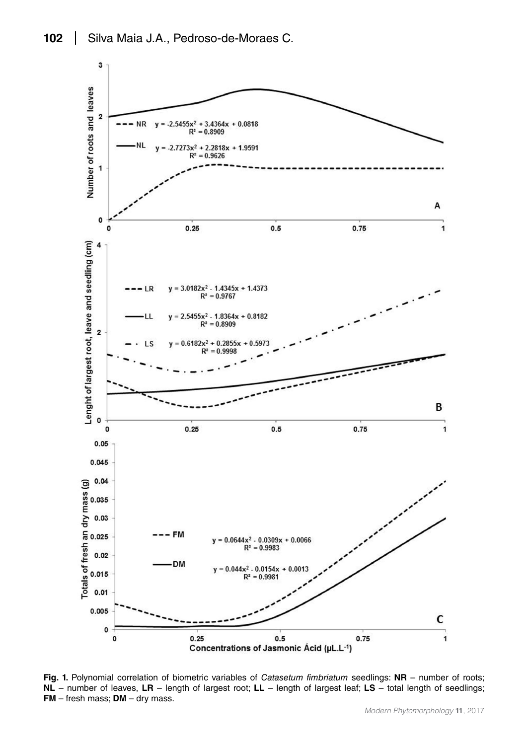

<span id="page-3-0"></span>**Fig. 1.** Polynomial correlation of biometric variables of *Catasetum fimbriatum* seedlings: **NR** – number of roots; **NL** – number of leaves, **LR** – length of largest root; **LL** – length of largest leaf; **LS** – total length of seedlings; **FM** – fresh mass; **DM** – dry mass.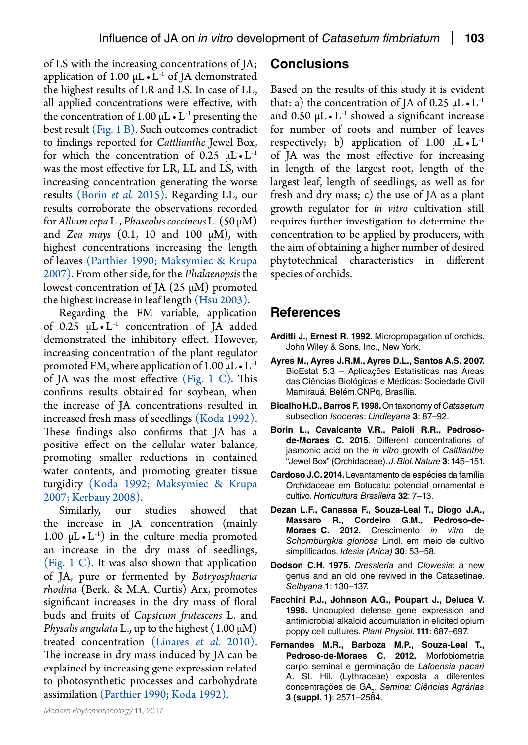of LS with the increasing concentrations of JA; application of  $1.00 \mu L \cdot L^{-1}$  of JA demonstrated the highest results of LR and LS. In case of LL, all applied concentrations were effective, with the concentration of  $1.00 \mu L \cdot L^{-1}$  presenting the best result [\(Fig. 1 B\)](#page-3-0). Such outcomes contradict to findings reported for *Cattlianthe* Jewel Box, for which the concentration of 0.25  $\mu L \cdot L^{-1}$ was the most effective for LR, LL and LS, with increasing concentration generating the worse results [\(Borin](#page-4-6) *et al.* 2015). Regarding LL, our results corroborate the observations recorded for *Allium cepa* L., *Phaseolus coccineus* L. (50 μM) and *Zea mays* (0.1, 10 and 100 μM), with highest concentrations increasing the length of leaves [\(Parthier 1990;](#page-5-5) [Maksymiec & Krupa](#page-5-13)  [2007\)](#page-5-13). From other side, for the *Phalaenopsis* the lowest concentration of JA (25  $\mu$ M) promoted the highest increase in leaf length [\(Hsu 2003\)](#page-5-12).

Regarding the FM variable, application of  $0.25 \mu L \cdot L^{-1}$  concentration of JA added demonstrated the inhibitory effect. However, increasing concentration of the plant regulator promoted FM, where application of  $1.00 \mu L \cdot L^{-1}$ of JA was the most effective (Fig.  $1 \, C$ ). This confirms results obtained for soybean, when the increase of JA concentrations resulted in increased fresh mass of seedlings [\(Koda 1992\).](#page-5-14) These findings also confirms that JA has a positive effect on the cellular water balance, promoting smaller reductions in contained water contents, and promoting greater tissue turgidity [\(Koda 1992;](#page-5-14) [Maksymiec & Krupa](#page-5-13)  [2007;](#page-5-13) [Kerbauy 2008\)](#page-5-15).

Similarly, our studies showed that the increase in JA concentration (mainly 1.00  $\mu$ L • L<sup>-1</sup>) in the culture media promoted an increase in the dry mass of seedlings, (Fig. 1  $\mathbb C$ ). It was also shown that application of JA, pure or fermented by *Botryosphaeria rhodina* (Berk. & M.A. Curtis) Arx, promotes significant increases in the dry mass of floral buds and fruits of *Capsicum frutescens* L. and *Physalis angulata* L., up to the highest (1.00 μM) treated concentration (Linares *et al.* 2010). The increase in dry mass induced by JA can be explained by increasing gene expression related to photosynthetic processes and carbohydrate assimilation [\(Parthier 1990;](#page-5-5) [Koda 1992\).](#page-5-14)

#### **Conclusions**

Based on the results of this study it is evident that: a) the concentration of JA of 0.25  $\mu$ L  $\cdot$  L<sup>-1</sup> and  $0.50 \mu L \cdot L^{-1}$  showed a significant increase for number of roots and number of leaves respectively; b) application of 1.00  $\mu L \cdot L^{-1}$ of JA was the most effective for increasing in length of the largest root, length of the largest leaf, length of seedlings, as well as for fresh and dry mass; c) the use of JA as a plant growth regulator for *in vitro* cultivation still requires further investigation to determine the concentration to be applied by producers, with the aim of obtaining a higher number of desired phytotechnical characteristics in different species of orchids.

## **References**

- <span id="page-4-3"></span>**Arditti J., Ernest R. 1992.** Micropropagation of orchids. John Wiley & Sons, Inc., New York.
- **Ayres M., Ayres J.R.M., Ayres D.L., Santos A.S. 2007.**  BioEstat 5.3 – Aplicações Estatísticas nas Áreas das Ciências Biológicas e Médicas: Sociedade Civil Mamirauá, Belém.CNPq, Brasília.
- <span id="page-4-1"></span>**Bicalho H.D., Barros F. 1998.** On taxonomy of *Catasetum*  subsection *Isoceras*: *Lindleyana* **3**: 87–92.
- <span id="page-4-6"></span>**Borin L., Cavalcante V.R., Paioli R.R., Pedrosode-Moraes C. 2015.** Different concentrations of jasmonic acid on the *in vitro* growth of *Cattlianthe* "Jewel Box" (Orchidaceae). *J. Biol. Nature* **3**: 145–151.
- **Cardoso J.C. 2014.** Levantamento de espécies da família Orchidaceae em Botucatu: potencial ornamental e cultivo. *Horticultura Brasileira* **32**: 7–13.
- <span id="page-4-4"></span>**Dezan L.F., Canassa F., Souza-Leal T., Diogo J.A., Massaro R., Cordeiro G.M., Pedroso-de-Moraes C. 2012.** Crescimento *in vitro* de *Schomburgkia gloriosa* Lindl. em meio de cultivo simplificados. *Idesia (Arica)* **30**: 53–58.
- <span id="page-4-0"></span>**Dodson C.H. 1975.** *Dressleria* and *Clowesia*: a new genus and an old one revived in the Catasetinae. *Selbyana* **1**: 130–137.
- <span id="page-4-2"></span>**Facchini P.J., Johnson A.G., Poupart J., Deluca V. 1996.** Uncoupled defense gene expression and antimicrobial alkaloid accumulation in elicited opium poppy cell cultures. *Plant Physiol.* **111**: 687–697.
- <span id="page-4-5"></span>**Fernandes M.R., Barboza M.P., Souza-Leal T., Pedroso-de-Moraes C. 2012.** Morfobiometria carpo seminal e germinação de *Lafoensia pacari*  A. St. Hil. (Lythraceae) exposta a diferentes concentrações de GA<sub>3</sub>. Semina: Ciências Agrárias **3 (suppl. 1)**: 2571–2584.